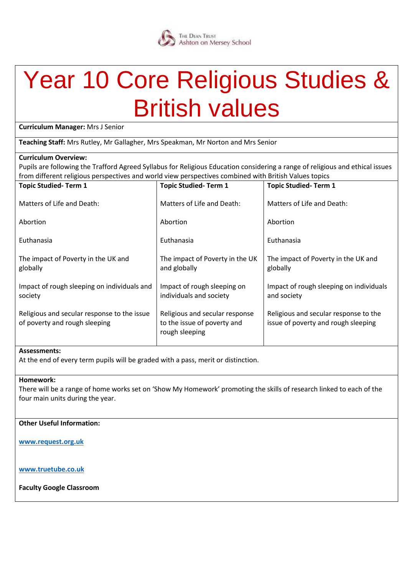### THE DEAN TRUST<br>Ashton on Mersey School

### Year 10 Core Religious Studies & British values

**Curriculum Manager:** Mrs J Senior

**Teaching Staff:** Mrs Rutley, Mr Gallagher, Mrs Speakman, Mr Norton and Mrs Senior

#### **Curriculum Overview:**

Pupils are following the Trafford Agreed Syllabus for Religious Education considering a range of religious and ethical issues from different religious perspectives and world view perspectives combined with British Values topics

| <b>Topic Studied-Term 1</b>                                                     | <b>Topic Studied-Term 1</b>                                                  |
|---------------------------------------------------------------------------------|------------------------------------------------------------------------------|
| Matters of Life and Death:                                                      | Matters of Life and Death:                                                   |
| Abortion                                                                        | Abortion                                                                     |
| Euthanasia                                                                      | Euthanasia                                                                   |
| The impact of Poverty in the UK<br>and globally                                 | The impact of Poverty in the UK and<br>globally                              |
| Impact of rough sleeping on<br>individuals and society                          | Impact of rough sleeping on individuals<br>and society                       |
| Religious and secular response<br>to the issue of poverty and<br>rough sleeping | Religious and secular response to the<br>issue of poverty and rough sleeping |
|                                                                                 |                                                                              |

#### **Assessments:**

At the end of every term pupils will be graded with a pass, merit or distinction.

#### **Homework:**

There will be a range of home works set on 'Show My Homework' promoting the skills of research linked to each of the four main units during the year.

#### **Other Useful Information:**

**[www.request.org.uk](http://www.request.org.uk/)**

**[www.truetube.co.uk](http://www.truetube.co.uk/)**

**Faculty Google Classroom**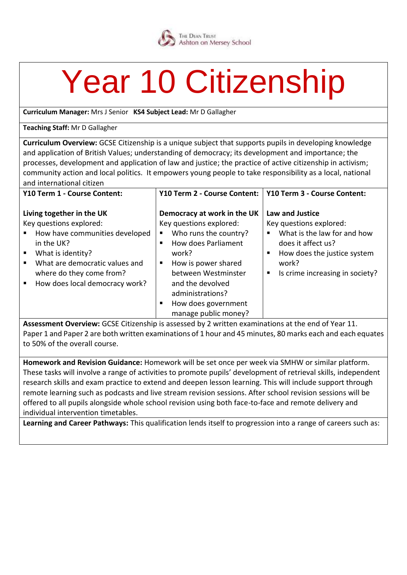

## Year 10 Citizenship

**Curriculum Manager:** Mrs J Senior **KS4 Subject Lead:** Mr D Gallagher

#### **Teaching Staff:** Mr D Gallagher

**Curriculum Overview:** GCSE Citizenship is a unique subject that supports pupils in developing knowledge and application of British Values; understanding of democracy; its development and importance; the processes, development and application of law and justice; the practice of active citizenship in activism; community action and local politics. It empowers young people to take responsibility as a local, national and international citizen

|                                                                                                                                                                                                                                                                                                                                    | Y10 Term 2 - Course Content:                                                                                                                                                                                                                | Y10 Term 3 - Course Content:                                                                                                                                                              |
|------------------------------------------------------------------------------------------------------------------------------------------------------------------------------------------------------------------------------------------------------------------------------------------------------------------------------------|---------------------------------------------------------------------------------------------------------------------------------------------------------------------------------------------------------------------------------------------|-------------------------------------------------------------------------------------------------------------------------------------------------------------------------------------------|
| Living together in the UK<br>Key questions explored:<br>How have communities developed<br>$\blacksquare$ .<br>ш<br>in the UK?<br>п<br>$\blacksquare$<br>What is identity?<br>work?<br>What are democratic values and<br>$\blacksquare$<br>٠<br>where do they come from?<br>How does local democracy work?<br>$\blacksquare$ .<br>п | Democracy at work in the UK<br>Key questions explored:<br>Who runs the country?<br>How does Parliament<br>How is power shared<br>between Westminster<br>and the devolved<br>administrations?<br>How does government<br>manage public money? | Law and Justice<br>Key questions explored:<br>What is the law for and how<br>٠<br>does it affect us?<br>How does the justice system<br>п<br>work?<br>Is crime increasing in society?<br>п |

**Assessment Overview:** GCSE Citizenship is assessed by 2 written examinations at the end of Year 11. Paper 1 and Paper 2 are both written examinations of 1 hour and 45 minutes, 80 marks each and each equates to 50% of the overall course.

**Homework and Revision Guidance:** Homework will be set once per week via SMHW or similar platform. These tasks will involve a range of activities to promote pupils' development of retrieval skills, independent research skills and exam practice to extend and deepen lesson learning. This will include support through remote learning such as podcasts and live stream revision sessions. After school revision sessions will be offered to all pupils alongside whole school revision using both face-to-face and remote delivery and individual intervention timetables.

**Learning and Career Pathways:** This qualification lends itself to progression into a range of careers such as: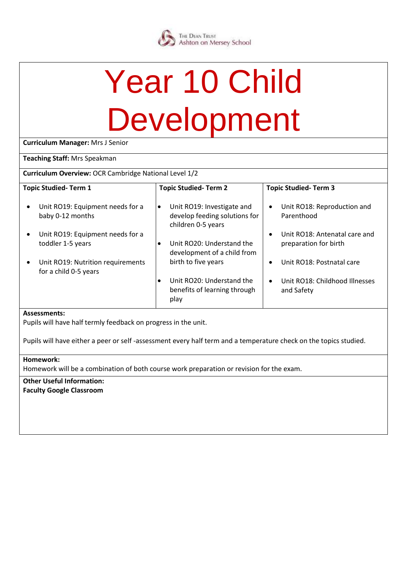# Year 10 Child Development

**Curriculum Manager:** Mrs J Senior

#### **Teaching Staff:** Mrs Speakman

**Curriculum Overview:** OCR Cambridge National Level 1/2

| <b>Topic Studied-Term 1</b>                                             | <b>Topic Studied-Term 2</b>                                                                    | <b>Topic Studied-Term 3</b>                                         |
|-------------------------------------------------------------------------|------------------------------------------------------------------------------------------------|---------------------------------------------------------------------|
| Unit RO19: Equipment needs for a<br>$\bullet$<br>baby 0-12 months       | Unit RO19: Investigate and<br>$\bullet$<br>develop feeding solutions for<br>children 0-5 years | Unit RO18: Reproduction and<br>$\bullet$<br>Parenthood              |
| Unit RO19: Equipment needs for a<br>$\bullet$<br>toddler 1-5 years      | Unit RO20: Understand the<br>development of a child from                                       | Unit RO18: Antenatal care and<br>$\bullet$<br>preparation for birth |
| Unit RO19: Nutrition requirements<br>$\bullet$<br>for a child 0-5 years | birth to five years                                                                            | Unit RO18: Postnatal care<br>$\bullet$                              |
|                                                                         | Unit RO20: Understand the<br>benefits of learning through<br>play                              | Unit RO18: Childhood Illnesses<br>$\bullet$<br>and Safety           |
| Accoccinants:                                                           |                                                                                                |                                                                     |

#### **Assessments:**

Pupils will have half termly feedback on progress in the unit.

Pupils will have either a peer or self -assessment every half term and a temperature check on the topics studied.

#### **Homework:**

Homework will be a combination of both course work preparation or revision for the exam.

**Other Useful Information: Faculty Google Classroom**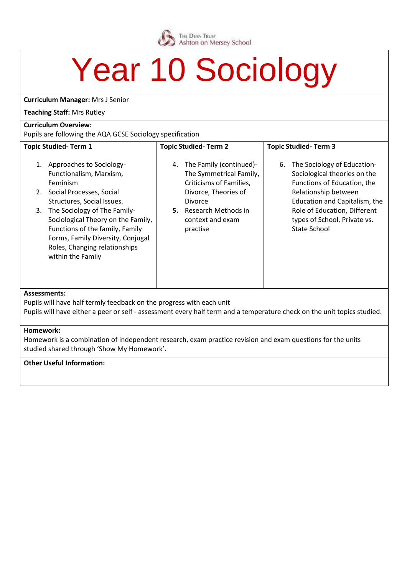

### Year 10 Sociology

**Curriculum Manager:** Mrs J Senior

#### **Teaching Staff:** Mrs Rutley

#### **Curriculum Overview:**

Pupils are following the AQA GCSE Sociology specification

| $\sim$ apply and rollowing the right occurs sociology specification.                                                                                                                                                                                                                                                                         |                                                                                                                                                                                                |                                                                                                                                                                                                                                                  |  |
|----------------------------------------------------------------------------------------------------------------------------------------------------------------------------------------------------------------------------------------------------------------------------------------------------------------------------------------------|------------------------------------------------------------------------------------------------------------------------------------------------------------------------------------------------|--------------------------------------------------------------------------------------------------------------------------------------------------------------------------------------------------------------------------------------------------|--|
| <b>Topic Studied-Term 1</b>                                                                                                                                                                                                                                                                                                                  | <b>Topic Studied-Term 2</b>                                                                                                                                                                    | <b>Topic Studied-Term 3</b>                                                                                                                                                                                                                      |  |
| Approaches to Sociology-<br>1.<br>Functionalism, Marxism,<br>Feminism<br>2. Social Processes, Social<br>Structures, Social Issues.<br>The Sociology of The Family-<br>3.<br>Sociological Theory on the Family,<br>Functions of the family, Family<br>Forms, Family Diversity, Conjugal<br>Roles, Changing relationships<br>within the Family | The Family (continued)-<br>4.<br>The Symmetrical Family,<br>Criticisms of Families,<br>Divorce, Theories of<br><b>Divorce</b><br><b>5.</b> Research Methods in<br>context and exam<br>practise | The Sociology of Education-<br>6.<br>Sociological theories on the<br>Functions of Education, the<br>Relationship between<br>Education and Capitalism, the<br>Role of Education, Different<br>types of School, Private vs.<br><b>State School</b> |  |
| <b>Assessments:</b><br>Pupils will have half termly feedback on the progress with each unit                                                                                                                                                                                                                                                  |                                                                                                                                                                                                |                                                                                                                                                                                                                                                  |  |
| Pupils will have either a peer or self - assessment every half term and a temperature check on the unit topics studied.                                                                                                                                                                                                                      |                                                                                                                                                                                                |                                                                                                                                                                                                                                                  |  |

#### **Homework:**

Homework is a combination of independent research, exam practice revision and exam questions for the units studied shared through 'Show My Homework'.

#### **Other Useful Information:**